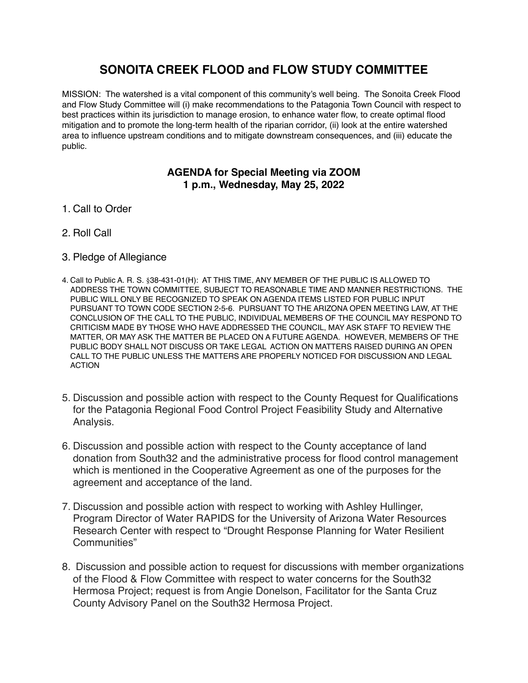# **SONOITA CREEK FLOOD and FLOW STUDY COMMITTEE**

MISSION: The watershed is a vital component of this community's well being. The Sonoita Creek Flood and Flow Study Committee will (i) make recommendations to the Patagonia Town Council with respect to best practices within its jurisdiction to manage erosion, to enhance water flow, to create optimal flood mitigation and to promote the long-term health of the riparian corridor, (ii) look at the entire watershed area to influence upstream conditions and to mitigate downstream consequences, and (iii) educate the public.

### **AGENDA for Special Meeting via ZOOM 1 p.m., Wednesday, May 25, 2022**

- 1. Call to Order
- 2. Roll Call
- 3. Pledge of Allegiance
- 4. Call to Public A. R. S. §38-431-01(H): AT THIS TIME, ANY MEMBER OF THE PUBLIC IS ALLOWED TO ADDRESS THE TOWN COMMITTEE, SUBJECT TO REASONABLE TIME AND MANNER RESTRICTIONS. THE PUBLIC WILL ONLY BE RECOGNIZED TO SPEAK ON AGENDA ITEMS LISTED FOR PUBLIC INPUT PURSUANT TO TOWN CODE SECTION 2-5-6. PURSUANT TO THE ARIZONA OPEN MEETING LAW, AT THE CONCLUSION OF THE CALL TO THE PUBLIC, INDIVIDUAL MEMBERS OF THE COUNCIL MAY RESPOND TO CRITICISM MADE BY THOSE WHO HAVE ADDRESSED THE COUNCIL, MAY ASK STAFF TO REVIEW THE MATTER, OR MAY ASK THE MATTER BE PLACED ON A FUTURE AGENDA. HOWEVER, MEMBERS OF THE PUBLIC BODY SHALL NOT DISCUSS OR TAKE LEGAL ACTION ON MATTERS RAISED DURING AN OPEN CALL TO THE PUBLIC UNLESS THE MATTERS ARE PROPERLY NOTICED FOR DISCUSSION AND LEGAL ACTION
- 5. Discussion and possible action with respect to the County Request for Qualifications for the Patagonia Regional Food Control Project Feasibility Study and Alternative Analysis.
- 6. Discussion and possible action with respect to the County acceptance of land donation from South32 and the administrative process for flood control management which is mentioned in the Cooperative Agreement as one of the purposes for the agreement and acceptance of the land.
- 7. Discussion and possible action with respect to working with Ashley Hullinger, Program Director of Water RAPIDS for the University of Arizona Water Resources Research Center with respect to "Drought Response Planning for Water Resilient Communities"
- 8. Discussion and possible action to request for discussions with member organizations of the Flood & Flow Committee with respect to water concerns for the South32 Hermosa Project; request is from Angie Donelson, Facilitator for the Santa Cruz County Advisory Panel on the South32 Hermosa Project.